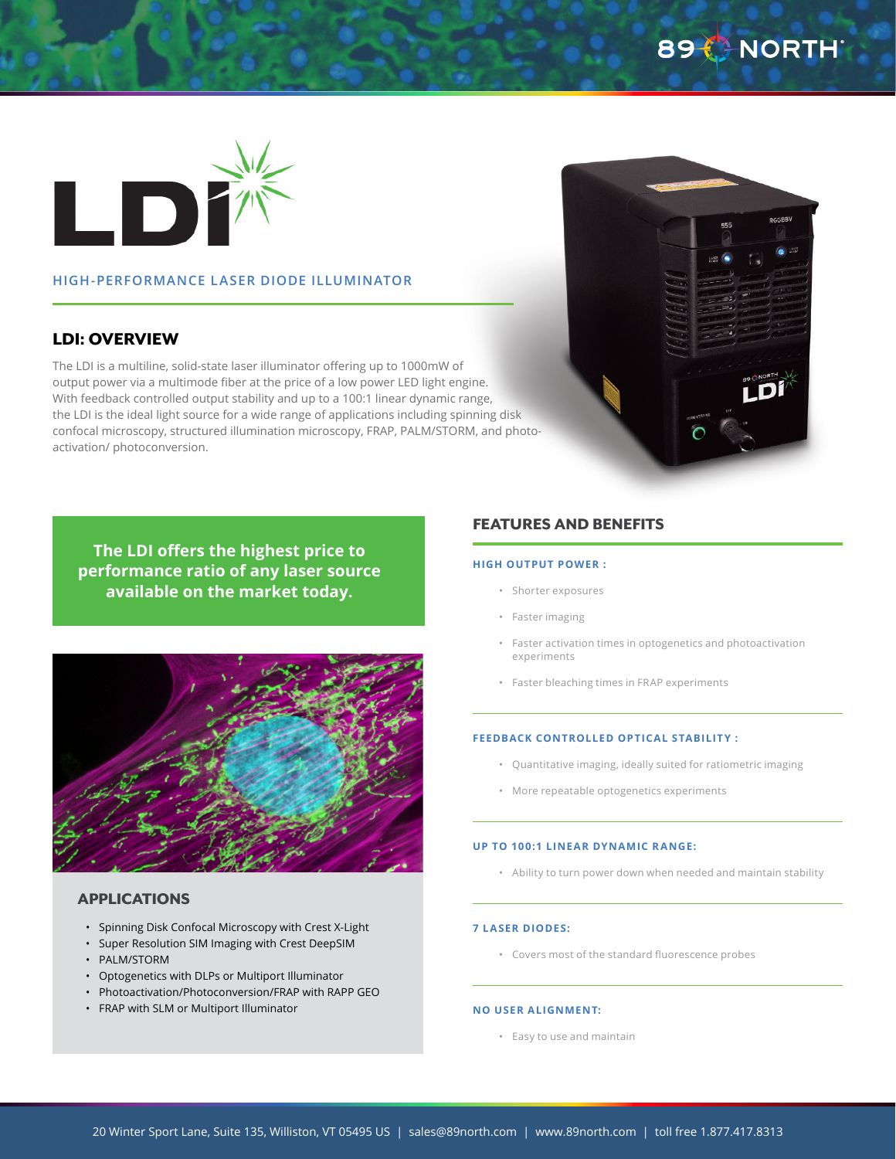# 89 CHORTH



### **HIGH-PERFORMANCE LASER DIODE ILLUMINATOR**

# LDI: OVERVIEW

The LDI is a multiline, solid-state laser illuminator offering up to 1000mW of output power via a multimode fiber at the price of a low power LED light engine. With feedback controlled output stability and up to a 100:1 linear dynamic range, the LDI is the ideal light source for a wide range of applications including spinning disk confocal microscopy, structured illumination microscopy, FRAP, PALM/STORM, and photoactivation/ photoconversion.

**The LDI offers the highest price to performance ratio of any laser source available on the market today.**



#### APPLICATIONS

- Spinning Disk Confocal Microscopy with Crest X-Light
- Super Resolution SIM Imaging with Crest DeepSIM
- PALM/STORM
- Optogenetics with DLPs or Multiport Illuminator
- Photoactivation/Photoconversion/FRAP with RAPP GEO
- FRAP with SLM or Multiport Illuminator

## FEATURES AND BENEFITS

#### **HIGH OUTPUT POWER :**

- Shorter exposures
- Faster imaging
- Faster activation times in optogenetics and photoactivation experiments
- Faster bleaching times in FRAP experiments

#### **FEEDBACK CONTROLLED OPTICAL STABILITY :**

- Quantitative imaging, ideally suited for ratiometric imaging
- More repeatable optogenetics experiments

#### **UP TO 100:1 LINEAR DYNAMIC RANGE:**

• Ability to turn power down when needed and maintain stability

#### **7 LASER DIODES:**

• Covers most of the standard fluorescence probes

#### **NO USER ALIGNMENT:**

• Easy to use and maintain